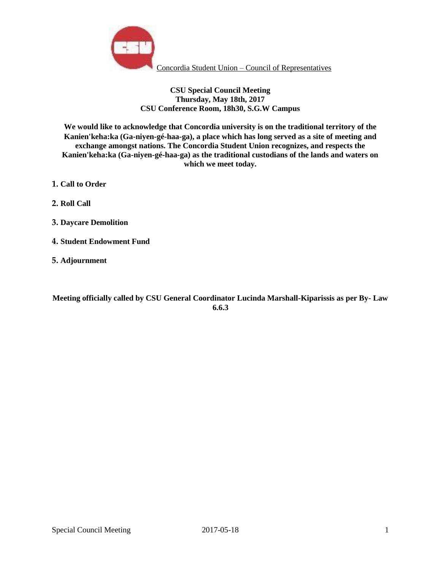

# **CSU Special Council Meeting Thursday, May 18th, 2017 CSU Conference Room, 18h30, S.G.W Campus**

**We would like to acknowledge that Concordia university is on the traditional territory of the Kanien'keha:ka (Ga-niyen-gé-haa-ga), a place which has long served as a site of meeting and exchange amongst nations. The Concordia Student Union recognizes, and respects the Kanien'keha:ka (Ga-niyen-gé-haa-ga) as the traditional custodians of the lands and waters on which we meet today.**

- **1. Call to Order**
- **2. Roll Call**
- **3. Daycare Demolition**
- **4. Student Endowment Fund**
- **5. Adjournment**

**Meeting officially called by CSU General Coordinator Lucinda Marshall-Kiparissis as per By- Law 6.6.3**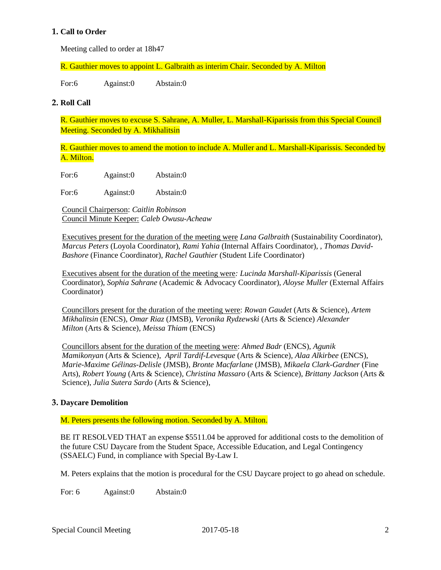# **1. Call to Order**

Meeting called to order at 18h47

R. Gauthier moves to appoint L. Galbraith as interim Chair. Seconded by A. Milton

For:6 Against:0 Abstain:0

#### **2. Roll Call**

R. Gauthier moves to excuse S. Sahrane, A. Muller, L. Marshall-Kiparissis from this Special Council Meeting. Seconded by A. Mikhalitsin

R. Gauthier moves to amend the motion to include A. Muller and L. Marshall-Kiparissis. Seconded by A. Milton.

For:6 Against:0 Abstain:0

For:6 Against:0 Abstain:0

Council Chairperson: *Caitlin Robinson* Council Minute Keeper: *Caleb Owusu-Acheaw*

Executives present for the duration of the meeting were *Lana Galbraith* (Sustainability Coordinator), *Marcus Peters* (Loyola Coordinator), *Rami Yahia* (Internal Affairs Coordinator), *, Thomas David-Bashore* (Finance Coordinator), *Rachel Gauthier* (Student Life Coordinator)

Executives absent for the duration of the meeting were*: Lucinda Marshall-Kiparissis* (General Coordinator), *Sophia Sahrane* (Academic & Advocacy Coordinator)*, Aloyse Muller* (External Affairs Coordinator)

Councillors present for the duration of the meeting were: *Rowan Gaudet* (Arts & Science)*, Artem Mikhalitsin* (ENCS), *Omar Riaz* (JMSB), *Veronika Rydzewski* (Arts & Science) *Alexander Milton* (Arts & Science)*, Meissa Thiam* (ENCS)

Councillors absent for the duration of the meeting were: *Ahmed Badr* (ENCS), *Agunik Mamikonyan* (Arts & Science), *April Tardif-Levesque* (Arts & Science)*, Alaa Alkirbee* (ENCS), *Marie-Maxime Gélinas-Delisle* (JMSB)*, Bronte Macfarlane* (JMSB)*, Mikaela Clark-Gardner* (Fine Arts), *Robert Young* (Arts & Science)*, Christina Massaro* (Arts & Science)*, Brittany Jackson* (Arts & Science), *Julia Sutera Sardo* (Arts & Science)*,*

### **3. Daycare Demolition**

M. Peters presents the following motion. Seconded by A. Milton.

BE IT RESOLVED THAT an expense \$5511.04 be approved for additional costs to the demolition of the future CSU Daycare from the Student Space, Accessible Education, and Legal Contingency (SSAELC) Fund, in compliance with Special By-Law I.

M. Peters explains that the motion is procedural for the CSU Daycare project to go ahead on schedule.

For: 6 Against:0 Abstain:0